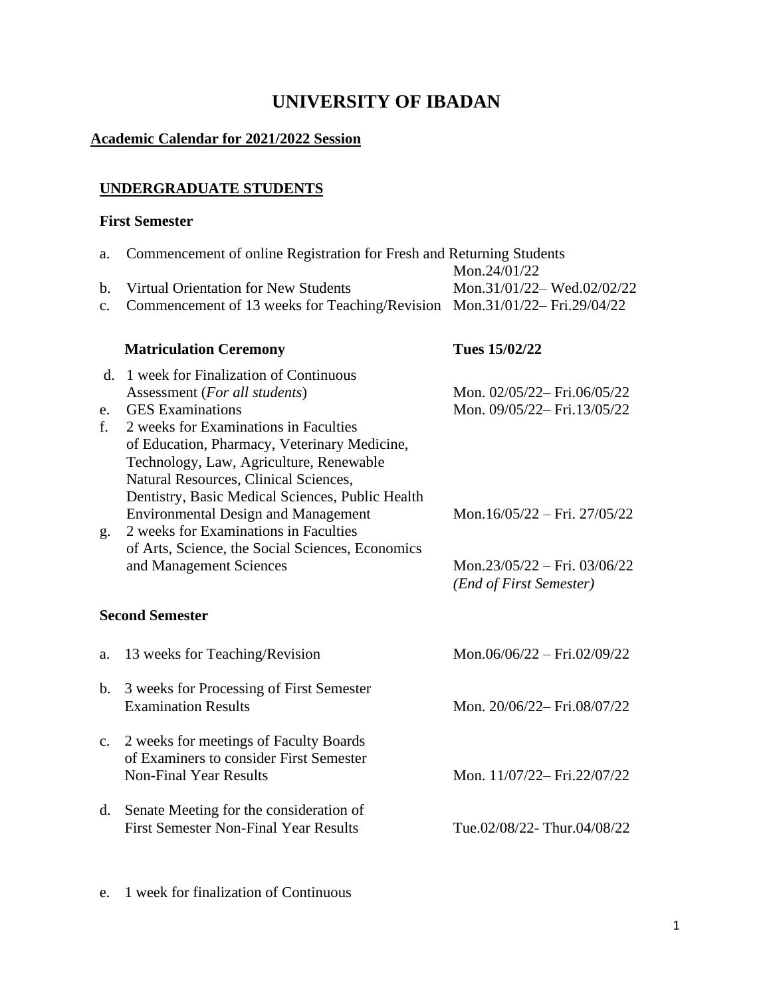# **UNIVERSITY OF IBADAN**

#### **Academic Calendar for 2021/2022 Session**

### **UNDERGRADUATE STUDENTS**

#### **First Semester**

| a.             | Commencement of online Registration for Fresh and Returning Students<br>Mon.24/01/22           |                              |
|----------------|------------------------------------------------------------------------------------------------|------------------------------|
| b.             | Virtual Orientation for New Students                                                           | Mon.31/01/22-Wed.02/02/22    |
| $\mathbf{c}$ . | Commencement of 13 weeks for Teaching/Revision Mon.31/01/22–Fri.29/04/22                       |                              |
|                | <b>Matriculation Ceremony</b>                                                                  | Tues 15/02/22                |
| d.             | 1 week for Finalization of Continuous                                                          |                              |
|                | Assessment (For all students)                                                                  | Mon. 02/05/22-Fri.06/05/22   |
| e.<br>f.       | <b>GES</b> Examinations<br>2 weeks for Examinations in Faculties                               | Mon. 09/05/22-Fri.13/05/22   |
|                | of Education, Pharmacy, Veterinary Medicine,                                                   |                              |
|                | Technology, Law, Agriculture, Renewable                                                        |                              |
|                | Natural Resources, Clinical Sciences,                                                          |                              |
|                | Dentistry, Basic Medical Sciences, Public Health<br><b>Environmental Design and Management</b> | Mon.16/05/22 - Fri. 27/05/22 |
| g.             | 2 weeks for Examinations in Faculties                                                          |                              |
|                | of Arts, Science, the Social Sciences, Economics                                               |                              |
|                | and Management Sciences                                                                        | Mon.23/05/22 - Fri. 03/06/22 |
|                |                                                                                                | (End of First Semester)      |
|                | <b>Second Semester</b>                                                                         |                              |
| a.             | 13 weeks for Teaching/Revision                                                                 | Mon.06/06/22 - Fri.02/09/22  |
| $\mathbf{b}$ . | 3 weeks for Processing of First Semester                                                       |                              |
|                | <b>Examination Results</b>                                                                     | Mon. 20/06/22-Fri.08/07/22   |
|                |                                                                                                |                              |
| $\mathbf{c}$ . | 2 weeks for meetings of Faculty Boards<br>of Examiners to consider First Semester              |                              |
|                | <b>Non-Final Year Results</b>                                                                  | Mon. 11/07/22-Fri.22/07/22   |
|                |                                                                                                |                              |
| $d_{\cdot}$    | Senate Meeting for the consideration of                                                        |                              |
|                | <b>First Semester Non-Final Year Results</b>                                                   | Tue.02/08/22-Thur.04/08/22   |
|                |                                                                                                |                              |
|                |                                                                                                |                              |

e. 1 week for finalization of Continuous